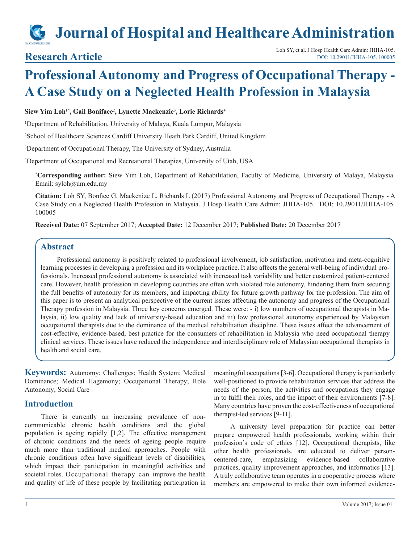# **Journal of Hospital and Healthcare Administration**

## **Professional Autonomy and Progress of Occupational Therapy - A Case Study on a Neglected Health Profession in Malaysia**

#### **Siew Yim Loh1\*, Gail Boniface2 , Lynette Mackenzie3 , Lorie Richards4**

1 Department of Rehabilitation, University of Malaya, Kuala Lumpur, Malaysia

2 School of Healthcare Sciences Cardiff University Heath Park Cardiff, United Kingdom

3 Department of Occupational Therapy, The University of Sydney, Australia

4 Department of Occupational and Recreational Therapies, University of Utah, USA

**\* Corresponding author:** Siew Yim Loh, Department of Rehabilitation, Faculty of Medicine, University of Malaya, Malaysia. Email: syloh@um.edu.my

**Citation:** Loh SY, Bonfice G, Mackenize L, Richards L (2017) Professional Autonomy and Progress of Occupational Therapy - A Case Study on a Neglected Health Profession in Malaysia. J Hosp Health Care Admin: JHHA-105. DOI: 10.29011/JHHA-105. 100005

**Received Date:** 07 September 2017; **Accepted Date:** 12 December 2017; **Published Date:** 20 December 2017

#### **Abstract**

Professional autonomy is positively related to professional involvement, job satisfaction, motivation and meta-cognitive learning processes in developing a profession and its workplace practice. It also affects the general well-being of individual professionals. Increased professional autonomy is associated with increased task variability and better customized patient-centered care. However, health profession in developing countries are often with violated role autonomy, hindering them from securing the full benefits of autonomy for its members, and impacting ability for future growth pathway for the profession. The aim of this paper is to present an analytical perspective of the current issues affecting the autonomy and progress of the Occupational Therapy profession in Malaysia. Three key concerns emerged. These were: - i) low numbers of occupational therapists in Malaysia, ii) low quality and lack of university-based education and iii) low professional autonomy experienced by Malaysian occupational therapists due to the dominance of the medical rehabilitation discipline. These issues affect the advancement of cost-effective, evidence-based, best practice for the consumers of rehabilitation in Malaysia who need occupational therapy clinical services. These issues have reduced the independence and interdisciplinary role of Malaysian occupational therapists in health and social care.

**Keywords:** Autonomy; Challenges; Health System; Medical Dominance; Medical Hagemony; Occupational Therapy; Role Autonomy; Social Care

#### **Introduction**

There is currently an increasing prevalence of noncommunicable chronic health conditions and the global population is ageing rapidly [1,2]. The effective management of chronic conditions and the needs of ageing people require much more than traditional medical approaches. People with chronic conditions often have significant levels of disabilities, which impact their participation in meaningful activities and societal roles. Occupational therapy can improve the health and quality of life of these people by facilitating participation in

meaningful occupations [3-6]. Occupational therapy is particularly well-positioned to provide rehabilitation services that address the needs of the person, the activities and occupations they engage in to fulfil their roles, and the impact of their environments [7-8]. Many countries have proven the cost-effectiveness of occupational therapist-led services [9-11].

A university level preparation for practice can better prepare empowered health professionals, working within their profession's code of ethics [12]. Occupational therapists, like other health professionals, are educated to deliver personcentered-care, emphasizing evidence-based collaborative practices, quality improvement approaches, and informatics [13]. A truly collaborative team operates in a cooperative process where members are empowered to make their own informed evidence-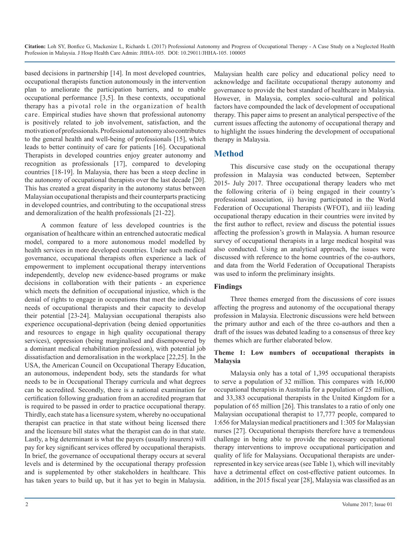based decisions in partnership [14]. In most developed countries, occupational therapists function autonomously in the intervention plan to ameliorate the participation barriers, and to enable occupational performance [3,5]. In these contexts, occupational therapy has a pivotal role in the organization of health care. Empirical studies have shown that professional autonomy is positively related to job involvement, satisfaction, and the motivation of professionals. Professional autonomy also contributes to the general health and well-being of professionals [15], which leads to better continuity of care for patients [16]. Occupational Therapists in developed countries enjoy greater autonomy and recognition as professionals [17], compared to developing countries [18-19]. In Malaysia, there has been a steep decline in the autonomy of occupational therapists over the last decade [20]. This has created a great disparity in the autonomy status between Malaysian occupational therapists and their counterparts practicing in developed countries, and contributing to the occupational stress and demoralization of the health professionals [21-22].

A common feature of less developed countries is the organisation of healthcare within an entrenched autocratic medical model, compared to a more autonomous model modelled by health services in more developed countries. Under such medical governance, occupational therapists often experience a lack of empowerment to implement occupational therapy interventions independently, develop new evidence-based programs or make decisions in collaboration with their patients - an experience which meets the definition of occupational injustice, which is the denial of rights to engage in occupations that meet the individual needs of occupational therapists and their capacity to develop their potential [23-24]. Malaysian occupational therapists also experience occupational-deprivation (being denied opportunities and resources to engage in high quality occupational therapy services), oppression (being marginalised and disempowered by a dominant medical rehabilitation profession), with potential job dissatisfaction and demoralisation in the workplace [22,25]. In the USA, the American Council on Occupational Therapy Education, an autonomous, independent body, sets the standards for what needs to be in Occupational Therapy curricula and what degrees can be accredited. Secondly, there is a national examination for certification following graduation from an accredited program that is required to be passed in order to practice occupational therapy. Thirdly, each state has a licensure system, whereby no occupational therapist can practice in that state without being licensed there and the licensure bill states what the therapist can do in that state. Lastly, a big determinant is what the payers (usually insurers) will pay for key significant services offered by occupational therapists. In brief, the governance of occupational therapy occurs at several levels and is determined by the occupational therapy profession and is supplemented by other stakeholders in healthcare. This has taken years to build up, but it has yet to begin in Malaysia.

Malaysian health care policy and educational policy need to acknowledge and facilitate occupational therapy autonomy and governance to provide the best standard of healthcare in Malaysia. However, in Malaysia, complex socio-cultural and political factors have compounded the lack of development of occupational therapy. This paper aims to present an analytical perspective of the current issues affecting the autonomy of occupational therapy and to highlight the issues hindering the development of occupational therapy in Malaysia.

### **Method**

This discursive case study on the occupational therapy profession in Malaysia was conducted between, September 2015- July 2017. Three occupational therapy leaders who met the following criteria of i) being engaged in their country's professional association, ii) having participated in the World Federation of Occupational Therapists (WFOT), and iii) leading occupational therapy education in their countries were invited by the first author to reflect, review and discuss the potential issues affecting the profession's growth in Malaysia. A human resource survey of occupational therapists in a large medical hospital was also conducted. Using an analytical approach, the issues were discussed with reference to the home countries of the co-authors, and data from the World Federation of Occupational Therapists was used to inform the preliminary insights.

#### **Findings**

Three themes emerged from the discussions of core issues affecting the progress and autonomy of the occupational therapy profession in Malaysia. Electronic discussions were held between the primary author and each of the three co-authors and then a draft of the issues was debated leading to a consensus of three key themes which are further elaborated below.

#### **Theme 1: Low numbers of occupational therapists in Malaysia**

Malaysia only has a total of 1,395 occupational therapists to serve a population of 32 million. This compares with 16,000 occupational therapists in Australia for a population of 25 million, and 33,383 occupational therapists in the United Kingdom for a population of 65 million [26]. This translates to a ratio of only one Malaysian occupational therapist to 17,777 people, compared to 1:656 for Malaysian medical practitioners and 1:305 for Malaysian nurses [27]. Occupational therapists therefore have a tremendous challenge in being able to provide the necessary occupational therapy interventions to improve occupational participation and quality of life for Malaysians. Occupational therapists are underrepresented in key service areas (see Table 1), which will inevitably have a detrimental effect on cost-effective patient outcomes. In addition, in the 2015 fiscal year [28], Malaysia was classified as an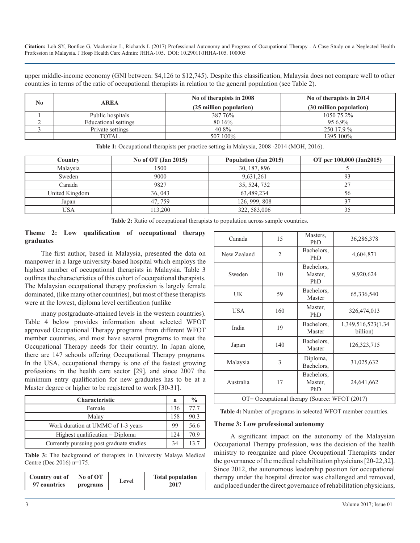upper middle-income economy (GNI between: \$4,126 to \$12,745). Despite this classification, Malaysia does not compare well to other countries in terms of the ratio of occupational therapists in relation to the general population (see Table 2).

| N <sub>0</sub> | <b>AREA</b>          | No of therapists in 2008 | No of therapists in 2014 |
|----------------|----------------------|--------------------------|--------------------------|
|                |                      | (25 million population)  | (30 million population)  |
|                | Public hospitals     | 387 76%                  | 1050 75.2%               |
|                | Educational settings | 80 16%                   | $956.9\%$                |
|                | Private settings     | 40 8%                    | 250 17.9 %               |
|                | TOTAL                | 507 100%                 | 1395 100%                |

| Country        | No of $OT$ (Jan 2015) | Population (Jan 2015) | OT per 100,000 (Jan2015) |
|----------------|-----------------------|-----------------------|--------------------------|
| Malaysia       | 500                   | 30, 187, 896          |                          |
| Sweden         | 9000                  | 9,631,261             | 93                       |
| Canada         | 9827                  | 35, 524, 732          | 27                       |
| United Kingdom | 36, 043               | 63,489,234            | 56                       |
| Japan          | 47.759                | 126, 999, 808         | 37                       |
| USA            | 113.200               | 322, 583,006          | 35                       |

**Table 1:** Occupational therapists per practice setting in Malaysia, 2008 -2014 (MOH, 2016).

**Table 2:** Ratio of occupational therapists to population across sample countries.

#### **Theme 2: Low qualification of occupational therapy graduates**

The first author, based in Malaysia, presented the data on manpower in a large university-based hospital which employs the highest number of occupational therapists in Malaysia. Table 3 outlines the characteristics of this cohort of occupational therapists. The Malaysian occupational therapy profession is largely female dominated, (like many other countries), but most of these therapists were at the lowest, diploma level certification (unlike

many postgraduate-attained levels in the western countries). Table 4 below provides information about selected WFOT approved Occupational Therapy programs from different WFOT member countries, and most have several programs to meet the Occupational Therapy needs for their country. In Japan alone, there are 147 schools offering Occupational Therapy programs. In the USA, occupational therapy is one of the fastest growing professions in the health care sector [29], and since 2007 the minimum entry qualification for new graduates has to be at a Master degree or higher to be registered to work [30-31].

| <b>Characteristic</b>                    | n   | $\frac{0}{0}$   |
|------------------------------------------|-----|-----------------|
| Female                                   | 136 | 77.7            |
| Malay                                    | 158 | 90.3            |
| Work duration at UMMC of 1-3 years       | 99  | 56.6            |
| Highest qualification $=$ Diploma        | 124 | 70.9            |
| Currently pursuing post graduate studies | 34  | 13 <sup>2</sup> |

**Table 3:** The background of therapists in University Malaya Medical Centre (Dec 2016) n=175.

| Country out of   No of OT |          | Level | <b>Total population</b> |
|---------------------------|----------|-------|-------------------------|
| 97 countries              | programs |       | 2017                    |

| Canada                                        | 15             | Masters.<br>PhD              | 36,286,378                      |  |
|-----------------------------------------------|----------------|------------------------------|---------------------------------|--|
| New Zealand                                   | $\overline{2}$ | Bachelors,<br>PhD            | 4,604,871                       |  |
| Sweden                                        | 10             | Bachelors,<br>Master,<br>PhD | 9,920,624                       |  |
| UK                                            | 59             | Bachelors,<br>Master         | 65,336,540                      |  |
| <b>USA</b>                                    | 160            | Master,<br>PhD               | 326,474,013                     |  |
| India                                         | 19             | Bachelors,<br>Master         | 1,349,516,523(1.34)<br>billion) |  |
| Japan                                         | 140            | Bachelors,<br>Master         | 126, 323, 715                   |  |
| Malaysia                                      | 3              | Diploma,<br>Bachelors,       | 31,025,632                      |  |
| Australia                                     | 17             | Bachelors,<br>Master,<br>PhD | 24,641,662                      |  |
| OT= Occupational therapy (Source: WFOT (2017) |                |                              |                                 |  |

**Table 4:** Number of programs in selected WFOT member countries.

#### **Theme 3: Low professional autonomy**

A significant impact on the autonomy of the Malaysian Occupational Therapy profession, was the decision of the health ministry to reorganize and place Occupational Therapists under the governance of the medical rehabilitation physicians [20-22,32]. Since 2012, the autonomous leadership position for occupational therapy under the hospital director was challenged and removed, and placed under the direct governance of rehabilitation physicians,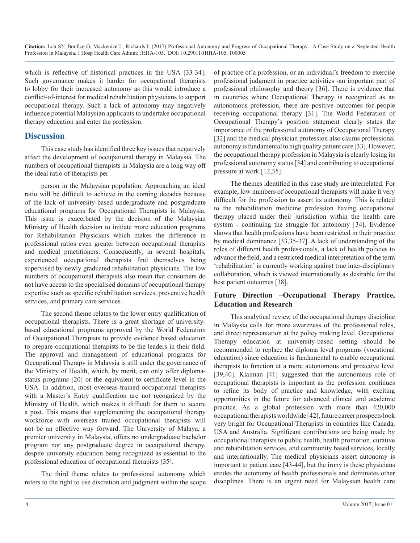which is reflective of historical practices in the USA [33-34]. Such governance makes it harder for occupational therapists to lobby for their increased autonomy as this would introduce a conflict-of-interest for medical rehabilitation physicians to support occupational therapy. Such a lack of autonomy may negatively influence potential Malaysian applicants to undertake occupational therapy education and enter the profession.

### **Discussion**

This case study has identified three key issues that negatively affect the development of occupational therapy in Malaysia. The numbers of occupational therapists in Malaysia are a long way off the ideal ratio of therapists per

person in the Malaysian population. Approaching an ideal ratio will be difficult to achieve in the coming decades because of the lack of university-based undergraduate and postgraduate educational programs for Occupational Therapists in Malaysia. This issue is exacerbated by the decision of the Malaysian Ministry of Health decision to initiate more education programs for Rehabilitation Physicians which makes the difference in professional ratios even greater between occupational therapists and medical practitioners. Consequently, in several hospitals, experienced occupational therapists find themselves being supervised by newly graduated rehabilitation physicians. The low numbers of occupational therapists also mean that consumers do not have access to the specialised domains of occupational therapy expertise such as specific rehabilitation services, preventive health services, and primary care services.

The second theme relates to the lower entry qualification of occupational therapists. There is a great shortage of universitybased educational programs approved by the World Federation of Occupational Therapists to provide evidence based education to prepare occupational therapists to be the leaders in their field. The approval and management of educational programs for Occupational Therapy in Malaysia is still under the governance of the Ministry of Health, which, by merit, can only offer diplomastatus programs [20] or the equivalent to certificate level in the USA. In addition, most overseas-trained occupational therapists with a Master's Entry qualification are not recognized by the Ministry of Health, which makes it difficult for them to secure a post. This means that supplementing the occupational therapy workforce with overseas trained occupational therapists will not be an effective way forward. The University of Malaya, a premier university in Malaysia, offers no undergraduate bachelor program nor any postgraduate degree in occupational therapy, despite university education being recognized as essential to the professional education of occupational therapists [35].

The third theme relates to professional autonomy which refers to the right to use discretion and judgment within the scope of practice of a profession, or an individual's freedom to exercise professional judgment in practice activities -an important part of professional philosophy and theory [36]. There is evidence that in countries where Occupational Therapy is recognized as an autonomous profession, there are positive outcomes for people receiving occupational therapy [31]. The World Federation of Occupational Therapy's position statement clearly states the importance of the professional autonomy of Occupational Therapy [32] and the medical physician profession also claims professional autonomy is fundamental to high quality patient care [33]. However, the occupational therapy profession in Malaysia is clearly losing its professional autonomy status [34] and contributing to occupational pressure at work [12,35].

The themes identified in this case study are interrelated. For example, low numbers of occupational therapists will make it very difficult for the profession to assert its autonomy. This is related to the rehabilitation medicine profession having occupational therapy placed under their jurisdiction within the health care system - continuing the struggle for autonomy [34]. Evidence shows that health professions have been restricted in their practice by medical dominance [33,35-37]. A lack of understanding of the roles of different health professionals, a lack of health policies to advance the field, and a restricted medical interpretation of the term 'rehabilitation' is currently working against true inter-disciplinary collaboration, which is viewed internationally as desirable for the best patient outcomes [38].

#### **Future Direction –Occupational Therapy Practice, Education and Research**

This analytical review of the occupational therapy discipline in Malaysia calls for more awareness of the professional roles, and direct representation at the policy making level. Occupational Therapy education at university-based setting should be recommended to replace the diploma level programs (vocational education) since education is fundamental to enable occupational therapists to function at a more autonomous and proactive level [39,40]. Klaiman [41] suggested that the autonomous role of occupational therapists is important as the profession continues to refine its body of practice and knowledge, with exciting opportunities in the future for advanced clinical and academic practice. As a global profession with more than 420,000 occupational therapists worldwide [42], future career prospects look very bright for Occupational Therapists in countries like Canada, USA and Australia. Significant contributions are being made by occupational therapists to public health, health promotion, curative and rehabilitation services, and community based services, locally and internationally. The medical physicians assert autonomy is important to patient care [43-44], but the irony is these physicians erodes the autonomy of health professionals and dominates other disciplines. There is an urgent need for Malaysian health care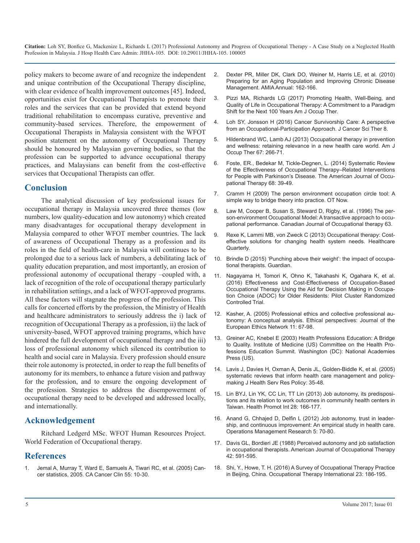policy makers to become aware of and recognize the independent [and unique contribution of the Occupational Therapy discipline,](https://indiana.pure.elsevier.com/en/publications/preparing-for-an-aging-population-and-improving-chronic-disease-m)  with clear evidence of health improvement outcomes [45]. Indeed, opportunities exist for Occupational Therapists to promote their roles and the services that can be provided that extend beyond traditional rehabilitation to encompass curative, preventive and community-based services. Therefore, the empowerment of Occupational Therapists in Malaysia consistent with the WFOT position statement on the autonomy of Occupational Therapy should be honoured by Malaysian governing bodies, so that the profession can be supported to advance occupational therapy practices, and Malaysians can benefit from the cost-effective services that Occupational Therapists can offer.

#### **Conclusion**

[The analytical discussion of key professional issues for](http://www.qicreative.com/wp-content/uploads/PEO.pdf)  occupational therapy in Malaysia uncovered three themes (low [numbers, low quality-education and low autonomy\) which created](https://s3.amazonaws.com/academia.edu.documents/36405143/Mary_Law_PEO_model.pdf?AWSAccessKeyId=AKIAIWOWYYGZ2Y53UL3A&Expires=1513257862&Signature=iWsJMTcPK4Zg8tBs9dEaN5nxOBI%3D&response-content-disposition=inline%3B filename%3DMary_Law_PEO_model.pdf)  many disadvantages for occupational therapy development in Malaysia compared to other WFOT member countries. The lack [of awareness of Occupational Therapy as a profession and its](https://www.ncbi.nlm.nih.gov/pubmed/24863311)  roles in the field of health-care in Malaysia will continues to be prolonged due to a serious lack of numbers, a debilitating lack of [quality education preparation, and most importantly, an erosion of](https://www.theguardian.com/social-care-network/2015/jan/27/impact-of-occupational-therapists)  professional autonomy of occupational therapy –coupled with, a [lack of recognition of the role of occupational therapy particularly](http://journals.plos.org/plosone/article?id=10.1371/journal.pone.0150374)  in rehabilitation settings, and a lack of WFOT-approved programs. All these factors will stagnate the progress of the profession. This calls for concerted efforts by the profession, the Ministry of Health and healthcare administrators to seriously address the i) lack of recognition of Occupational Therapy as a profession, ii) the lack of university-based, WFOT approved training programs, which have hindered the full development of occupational therapy and the iii) loss of professional autonomy which silenced its contribution to health and social care in Malaysia. Every profession should ensure their role autonomy is protected, in order to reap the full benefits of autonomy for its members, to enhance a future vision and pathway for the profession, and to ensure the ongoing development of the profession. Strategies to address the disempowerment of occupational therapy need to be developed and addressed locally, and internationally.

#### **Acknowledgement**

Ritchard Ledgerd MSc. WFOT Human Resources Project. World Federation of Occupational therapy.

#### **References**

1. [Jemal A, Murray T, Ward E, Samuels A, Tiwari RC, et al. \(2005\) Can](https://www.ncbi.nlm.nih.gov/pubmed/15661684)[cer statistics, 2005. CA Cancer Clin 55: 10-30.](https://www.ncbi.nlm.nih.gov/pubmed/15661684)

- 2. [Dexter PR, Miller DK, Clark DO, Weiner M, Harris LE, et al. \(2010\)](https://indiana.pure.elsevier.com/en/publications/preparing-for-an-aging-population-and-improving-chronic-disease-m)  Preparing for an Aging Population and Improving Chronic Disease [Management. AMIA Annual: 162-166](https://indiana.pure.elsevier.com/en/publications/preparing-for-an-aging-population-and-improving-chronic-disease-m).
- 3. [Pizzi MA, Richards LG \(2017\) Promoting Health, Well-Being, and](https://www.ncbi.nlm.nih.gov/pubmed/28661379)  [Quality of Life in Occupational Therapy: A Commitment to a Paradigm](https://www.ncbi.nlm.nih.gov/pubmed/28661379)  [Shift for the Next 100 Years Am J Occup Ther.](https://www.ncbi.nlm.nih.gov/pubmed/28661379)
- 4. [Loh SY, Jonsson H \(2016\) Cancer Survivorship Care: A perspective](https://www.omicsonline.org/open-access/cancer-survivorship-care-a-perspective-from-an-occupationalparticipation-approach-1948-5956-1000411.php?aid=77458)  [from an Occupational-Participation Approach. J Cancer Sci Ther 8.](https://www.omicsonline.org/open-access/cancer-survivorship-care-a-perspective-from-an-occupationalparticipation-approach-1948-5956-1000411.php?aid=77458)
- 5. [Hildenbrand WC, Lamb AJ \(2013\) Occupational therapy in prevention](https://www.ncbi.nlm.nih.gov/pubmed/23597683)  [and wellness: retaining relevance in a new health care world. Am J](https://www.ncbi.nlm.nih.gov/pubmed/23597683)  [Occup Ther 67: 266-71.](https://www.ncbi.nlm.nih.gov/pubmed/23597683)
- 6. [Foste, ER., Bedekar M, Tickle-Degnen, L. \(2014\) Systematic Review](https://www.ncbi.nlm.nih.gov/pubmed/24367954)  [of the Effectiveness of Occupational Therapy–Related Interventions](https://www.ncbi.nlm.nih.gov/pubmed/24367954)  [for People with Parkinson's Disease. The American Journal of Occu](https://www.ncbi.nlm.nih.gov/pubmed/24367954)[pational Therapy 68: 39-49.](https://www.ncbi.nlm.nih.gov/pubmed/24367954)
- 7. [Cramm H \(2009\) The person environment occupation circle tool: A](http://www.qicreative.com/wp-content/uploads/PEO.pdf)  simple way to bridge theory into practice. OT Now.
- 8. [Law M, Cooper B, Susan S, Steward D, Rigby, et al. \(1996\) The per](https://s3.amazonaws.com/academia.edu.documents/36405143/Mary_Law_PEO_model.pdf?AWSAccessKeyId=AKIAIWOWYYGZ2Y53UL3A&Expires=1513257862&Signature=iWsJMTcPK4Zg8tBs9dEaN5nxOBI%3D&response-content-disposition=inline%3B filename%3DMary_Law_PEO_model.pdf)son-environment Occupational Model: A transactive approach to occu[pational performance. Canadian Journal of Occupational therapy 63.](https://s3.amazonaws.com/academia.edu.documents/36405143/Mary_Law_PEO_model.pdf?AWSAccessKeyId=AKIAIWOWYYGZ2Y53UL3A&Expires=1513257862&Signature=iWsJMTcPK4Zg8tBs9dEaN5nxOBI%3D&response-content-disposition=inline%3B filename%3DMary_Law_PEO_model.pdf)
- 9. [Rexe K, Lammi MB, von Zweck C \(2013\) Occupational therapy: Cost](https://www.ncbi.nlm.nih.gov/pubmed/24863311)effective solutions for changing health system needs. Healthcare [Quarterly.](https://www.ncbi.nlm.nih.gov/pubmed/24863311)
- 10. [Brindle D \(2015\) 'Punching above their weight': the impact of occupa](https://www.theguardian.com/social-care-network/2015/jan/27/impact-of-occupational-therapists)tional therapists. Guardian.
- 11. [Nagayama H, Tomori K, Ohno K, Takahashi K, Ogahara K, et al.](http://journals.plos.org/plosone/article?id=10.1371/journal.pone.0150374)  (2016) Effectiveness and Cost-Effectiveness of Occupation-Based [Occupational Therapy Using the Aid for Decision Making in Occupa](http://journals.plos.org/plosone/article?id=10.1371/journal.pone.0150374)[tion Choice \(ADOC\) for Older Residents: Pilot Cluster Randomized](http://journals.plos.org/plosone/article?id=10.1371/journal.pone.0150374)  [Controlled Trial.](http://journals.plos.org/plosone/article?id=10.1371/journal.pone.0150374)
- 12. [Kasher, A. \(2005\) Professional ethics and collective professional au](https://www.ncbi.nlm.nih.gov/pubmed/16619429)[tonomy: A conceptual analysis. Ethical perspectives: Journal of the](https://www.ncbi.nlm.nih.gov/pubmed/16619429) [European Ethics Network 11: 67-98.](https://www.ncbi.nlm.nih.gov/pubmed/16619429)
- 13. [Greiner AC, Knebel E \(2003\) Health Professions Education: A Bridge](https://www.ncbi.nlm.nih.gov/books/NBK221528/)  [to Quality. Institute of Medicine \(US\) Committee on the Health Pro](https://www.ncbi.nlm.nih.gov/books/NBK221528/)[fessions Education Summit. Washington \(DC\): National Academies](https://www.ncbi.nlm.nih.gov/books/NBK221528/)  [Press \(US\).](https://www.ncbi.nlm.nih.gov/books/NBK221528/)
- 14. [Lavis J, Davies H, Oxman A, Denis JL, Golden-Biddle K, et al. \(2005\)](https://scholar.google.co.in/scholar?q=systematic+reviews+that+inform+health+care+management+and+policy-making&hl=en&as_sdt=0&as_vis=1&oi=scholart&sa=X&ved=0ahUKEwjclbetwYnYAhUGRo8KHdwWCWUQgQMINjAA)  [systematic reviews that inform health care management and policy](https://scholar.google.co.in/scholar?q=systematic+reviews+that+inform+health+care+management+and+policy-making&hl=en&as_sdt=0&as_vis=1&oi=scholart&sa=X&ved=0ahUKEwjclbetwYnYAhUGRo8KHdwWCWUQgQMINjAA)[making J Health Serv Res Policy: 35-48.](https://scholar.google.co.in/scholar?q=systematic+reviews+that+inform+health+care+management+and+policy-making&hl=en&as_sdt=0&as_vis=1&oi=scholart&sa=X&ved=0ahUKEwjclbetwYnYAhUGRo8KHdwWCWUQgQMINjAA)
- 15. [Lin BYJ, Lin YK, CC Lin, TT Lin \(2013\) Job autonomy, its predisposi](https://www.ncbi.nlm.nih.gov/pubmed/22200896)[tions and its relation to work outcomes in community health centers in](https://www.ncbi.nlm.nih.gov/pubmed/22200896)  [Taiwan. Health Promot Int 28: 166-177.](https://www.ncbi.nlm.nih.gov/pubmed/22200896)
- 16. [Anand G, Chhajed D, Delfin L \(2012\) Job autonomy, trust in leader](https://link.springer.com/article/10.1007/s12063-012-0068-8)[ship, and continuous improvement: An empirical study in health care.](https://link.springer.com/article/10.1007/s12063-012-0068-8)  [Operations Management Research 5: 70-80](https://link.springer.com/article/10.1007/s12063-012-0068-8).
- 17. [Davis GL, Bordieri JE \(1988\) Perceived autonomy and job satisfaction](https://www.ncbi.nlm.nih.gov/pubmed/3189490)  [in occupational therapists. American Journal of Occupational Therapy](https://www.ncbi.nlm.nih.gov/pubmed/3189490)  [42: 591-595.](https://www.ncbi.nlm.nih.gov/pubmed/3189490)
- 18. [Shi, Y., Howe, T. H. \(2016\) A Survey of Occupational Therapy Practice](https://www.ncbi.nlm.nih.gov/pubmed/26765795)  [in Beijing, China. Occupational Therapy International 23: 186-195.](https://www.ncbi.nlm.nih.gov/pubmed/26765795)